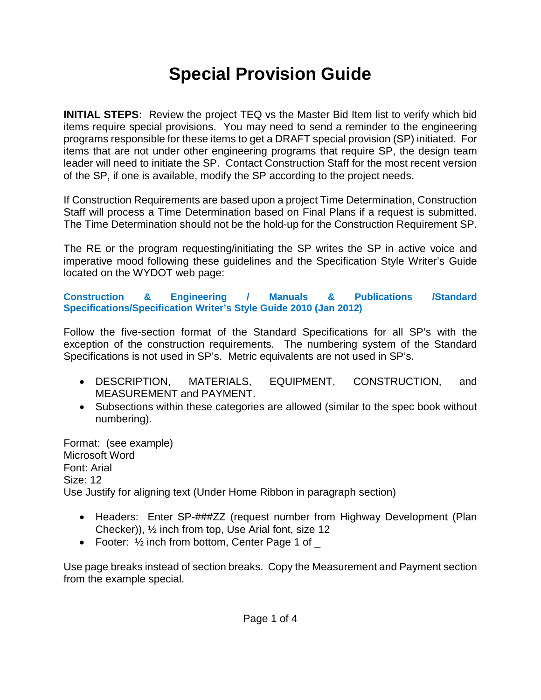# **Special Provision Guide**

**INITIAL STEPS:** Review the project TEQ vs the Master Bid Item list to verify which bid items require special provisions. You may need to send a reminder to the engineering programs responsible for these items to get a DRAFT special provision (SP) initiated. For items that are not under other engineering programs that require SP, the design team leader will need to initiate the SP. Contact Construction Staff for the most recent version of the SP, if one is available, modify the SP according to the project needs.

If Construction Requirements are based upon a project Time Determination, Construction Staff will process a Time Determination based on Final Plans if a request is submitted. The Time Determination should not be the hold-up for the Construction Requirement SP.

The RE or the program requesting/initiating the SP writes the SP in active voice and imperative mood following these guidelines and the Specification Style Writer's Guide located on the WYDOT web page:

**Construction & Engineering / Manuals & Publications /Standard Specifications/Specification Writer's Style Guide 2010 (Jan 2012)**

Follow the five-section format of the Standard Specifications for all SP's with the exception of the construction requirements. The numbering system of the Standard Specifications is not used in SP's. Metric equivalents are not used in SP's.

- DESCRIPTION, MATERIALS, EQUIPMENT, CONSTRUCTION, and MEASUREMENT and PAYMENT.
- Subsections within these categories are allowed (similar to the spec book without numbering).

Format: (see example) Microsoft Word Font: Arial Size: 12 Use Justify for aligning text (Under Home Ribbon in paragraph section)

- Headers: Enter SP-###ZZ (request number from Highway Development (Plan Checker)), ½ inch from top, Use Arial font, size 12
- Footer:  $\frac{1}{2}$  inch from bottom, Center Page 1 of  $\overline{\phantom{a}}$

Use page breaks instead of section breaks. Copy the Measurement and Payment section from the example special.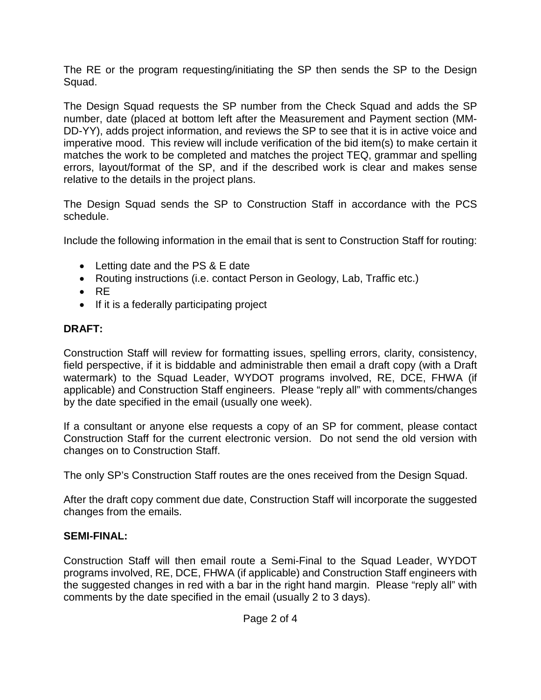The RE or the program requesting/initiating the SP then sends the SP to the Design Squad.

The Design Squad requests the SP number from the Check Squad and adds the SP number, date (placed at bottom left after the Measurement and Payment section (MM-DD-YY), adds project information, and reviews the SP to see that it is in active voice and imperative mood. This review will include verification of the bid item(s) to make certain it matches the work to be completed and matches the project TEQ, grammar and spelling errors, layout/format of the SP, and if the described work is clear and makes sense relative to the details in the project plans.

The Design Squad sends the SP to Construction Staff in accordance with the PCS schedule.

Include the following information in the email that is sent to Construction Staff for routing:

- Letting date and the PS & E date
- Routing instructions (i.e. contact Person in Geology, Lab, Traffic etc.)
- RE
- If it is a federally participating project

#### **DRAFT:**

Construction Staff will review for formatting issues, spelling errors, clarity, consistency, field perspective, if it is biddable and administrable then email a draft copy (with a Draft watermark) to the Squad Leader, WYDOT programs involved, RE, DCE, FHWA (if applicable) and Construction Staff engineers. Please "reply all" with comments/changes by the date specified in the email (usually one week).

If a consultant or anyone else requests a copy of an SP for comment, please contact Construction Staff for the current electronic version. Do not send the old version with changes on to Construction Staff.

The only SP's Construction Staff routes are the ones received from the Design Squad.

After the draft copy comment due date, Construction Staff will incorporate the suggested changes from the emails.

### **SEMI-FINAL:**

Construction Staff will then email route a Semi-Final to the Squad Leader, WYDOT programs involved, RE, DCE, FHWA (if applicable) and Construction Staff engineers with the suggested changes in red with a bar in the right hand margin. Please "reply all" with comments by the date specified in the email (usually 2 to 3 days).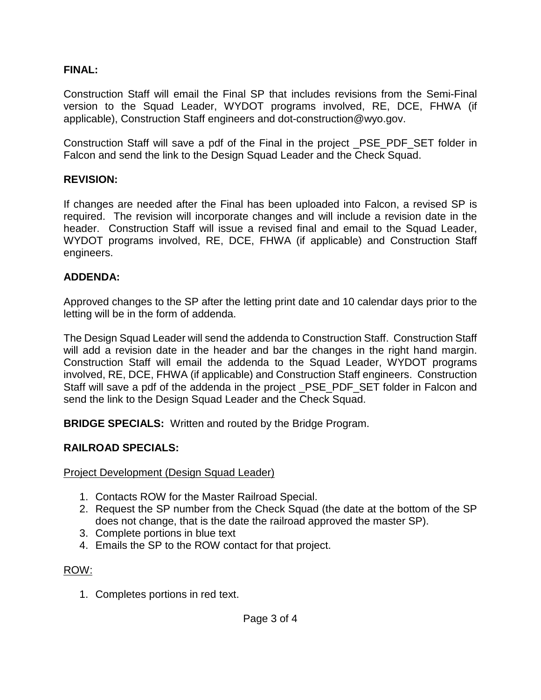#### **FINAL:**

Construction Staff will email the Final SP that includes revisions from the Semi-Final version to the Squad Leader, WYDOT programs involved, RE, DCE, FHWA (if applicable), Construction Staff engineers and dot-construction@wyo.gov.

Construction Staff will save a pdf of the Final in the project \_PSE\_PDF\_SET folder in Falcon and send the link to the Design Squad Leader and the Check Squad.

#### **REVISION:**

If changes are needed after the Final has been uploaded into Falcon, a revised SP is required. The revision will incorporate changes and will include a revision date in the header. Construction Staff will issue a revised final and email to the Squad Leader, WYDOT programs involved, RE, DCE, FHWA (if applicable) and Construction Staff engineers.

#### **ADDENDA:**

Approved changes to the SP after the letting print date and 10 calendar days prior to the letting will be in the form of addenda.

The Design Squad Leader will send the addenda to Construction Staff. Construction Staff will add a revision date in the header and bar the changes in the right hand margin. Construction Staff will email the addenda to the Squad Leader, WYDOT programs involved, RE, DCE, FHWA (if applicable) and Construction Staff engineers. Construction Staff will save a pdf of the addenda in the project \_PSE\_PDF\_SET folder in Falcon and send the link to the Design Squad Leader and the Check Squad.

**BRIDGE SPECIALS:** Written and routed by the Bridge Program.

#### **RAILROAD SPECIALS:**

Project Development (Design Squad Leader)

- 1. Contacts ROW for the Master Railroad Special.
- 2. Request the SP number from the Check Squad (the date at the bottom of the SP does not change, that is the date the railroad approved the master SP).
- 3. Complete portions in blue text
- 4. Emails the SP to the ROW contact for that project.

#### ROW:

1. Completes portions in red text.